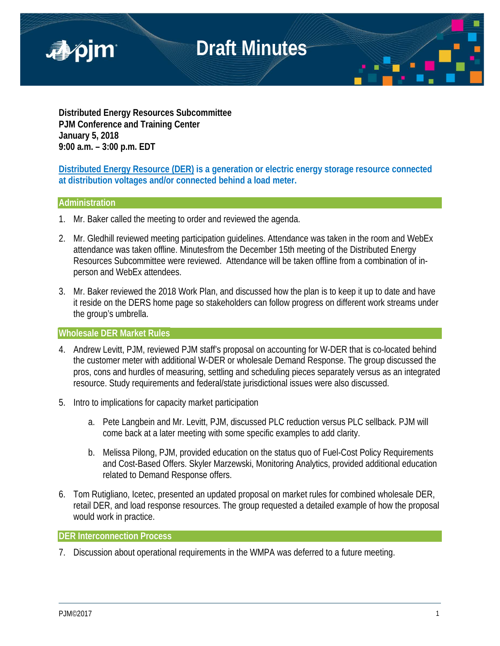

**Distributed Energy Resources Subcommittee PJM Conference and Training Center January 5, 2018 9:00 a.m. – 3:00 p.m. EDT**

**Distributed Energy Resource (DER) is a generation or electric energy storage resource connected at distribution voltages and/or connected behind a load meter.**

# **Administration**

- 1. Mr. Baker called the meeting to order and reviewed the agenda.
- 2. Mr. Gledhill reviewed meeting participation guidelines. Attendance was taken in the room and WebEx attendance was taken offline. Minutesfrom the December 15th meeting of the Distributed Energy Resources Subcommittee were reviewed. Attendance will be taken offline from a combination of inperson and WebEx attendees.
- 3. Mr. Baker reviewed the 2018 Work Plan, and discussed how the plan is to keep it up to date and have it reside on the DERS home page so stakeholders can follow progress on different work streams under the group's umbrella.

# **Wholesale DER Market Rules**

- 4. Andrew Levitt, PJM, reviewed PJM staff's proposal on accounting for W-DER that is co-located behind the customer meter with additional W-DER or wholesale Demand Response. The group discussed the pros, cons and hurdles of measuring, settling and scheduling pieces separately versus as an integrated resource. Study requirements and federal/state jurisdictional issues were also discussed.
- 5. Intro to implications for capacity market participation
	- a. Pete Langbein and Mr. Levitt, PJM, discussed PLC reduction versus PLC sellback. PJM will come back at a later meeting with some specific examples to add clarity.
	- b. Melissa Pilong, PJM, provided education on the status quo of Fuel-Cost Policy Requirements and Cost-Based Offers. Skyler Marzewski, Monitoring Analytics, provided additional education related to Demand Response offers.
- 6. Tom Rutigliano, Icetec, presented an updated proposal on market rules for combined wholesale DER, retail DER, and load response resources. The group requested a detailed example of how the proposal would work in practice.

### **DER Interconnection Process**

7. Discussion about operational requirements in the WMPA was deferred to a future meeting.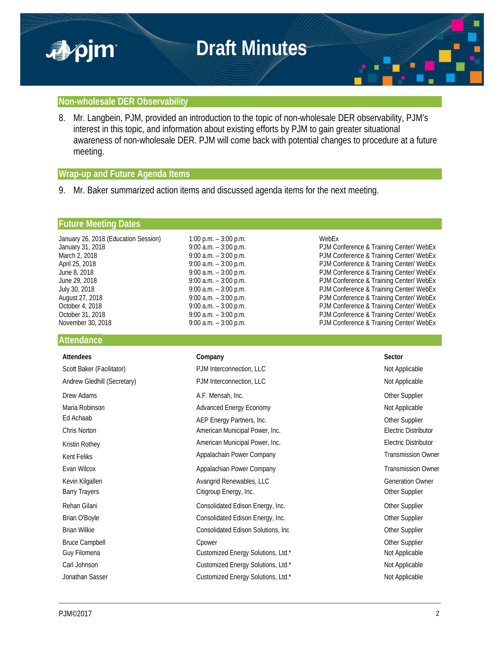

### **Non-wholesale DER Observability**

8. Mr. Langbein, PJM, provided an introduction to the topic of non-wholesale DER observability, PJM's interest in this topic, and information about existing efforts by PJM to gain greater situational awareness of non-wholesale DER. PJM will come back with potential changes to procedure at a future meeting.

## **Wrap-up and Future Agenda Items**

9. Mr. Baker summarized action items and discussed agenda items for the next meeting.

### **Future Meeting Dates**

| January 26, 2018 (Education Session) | 1:00 p.m. $-$ 3:00 p.m.  | WebEx                                   |
|--------------------------------------|--------------------------|-----------------------------------------|
| January 31, 2018                     | $9:00$ a.m. $-3:00$ p.m. | PJM Conference & Training Center/ WebEx |
| March 2, 2018                        | $9:00$ a.m. $-3:00$ p.m. | PJM Conference & Training Center/ WebEx |
| April 25, 2018                       | $9:00$ a.m. $-3:00$ p.m. | PJM Conference & Training Center/ WebEx |
| June 8, 2018                         | $9:00$ a.m. $-3:00$ p.m. | PJM Conference & Training Center/ WebEx |
| June 29, 2018                        | 9:00 a.m. $-3:00$ p.m.   | PJM Conference & Training Center/ WebEx |
| July 30, 2018                        | $9:00$ a.m. $-3:00$ p.m. | PJM Conference & Training Center/ WebEx |
| August 27, 2018                      | $9:00$ a.m. $-3:00$ p.m. | PJM Conference & Training Center/ WebEx |
| October 4, 2018                      | $9:00$ a.m. $-3:00$ p.m. | PJM Conference & Training Center/ WebEx |
| October 31, 2018                     | $9:00$ a.m. $-3:00$ p.m. | PJM Conference & Training Center/ WebEx |
| November 30, 2018                    | $9:00$ a.m. $-3:00$ p.m. | PJM Conference & Training Center/ WebEx |

### **Attendance**

| <b>Attendees</b>            | Company                             | Sector                      |
|-----------------------------|-------------------------------------|-----------------------------|
| Scott Baker (Facilitator)   | PJM Interconnection, LLC            | Not Applicable              |
| Andrew Gledhill (Secretary) | PJM Interconnection, LLC            | Not Applicable              |
| Drew Adams                  | A.F. Mensah, Inc.                   | Other Supplier              |
| Maria Robinson              | <b>Advanced Energy Economy</b>      | Not Applicable              |
| Ed Achaab                   | AEP Energy Partners, Inc.           | Other Supplier              |
| Chris Norton                | American Municipal Power, Inc.      | <b>Electric Distributor</b> |
| Kristin Rothey              | American Municipal Power, Inc.      | Electric Distributor        |
| Kent Feliks                 | Appalachain Power Company           | <b>Transmission Owner</b>   |
| Evan Wilcox                 | Appalachian Power Company           | <b>Transmission Owner</b>   |
| Kevin Kilgallen             | Avangrid Renewables, LLC            | <b>Generation Owner</b>     |
| <b>Barry Trayers</b>        | Citigroup Energy, Inc.              | Other Supplier              |
| Rehan Gilani                | Consolidated Edison Energy, Inc.    | Other Supplier              |
| Brian O'Boyle               | Consolidated Edison Energy, Inc.    | Other Supplier              |
| <b>Brian Wilkie</b>         | Consolidated Edison Solutions, Inc. | Other Supplier              |
| <b>Bruce Campbell</b>       | Cpower                              | Other Supplier              |
| Guy Filomena                | Customized Energy Solutions, Ltd.*  | Not Applicable              |
| Carl Johnson                | Customized Energy Solutions, Ltd.*  | Not Applicable              |
| Jonathan Sasser             | Customized Energy Solutions, Ltd.*  | Not Applicable              |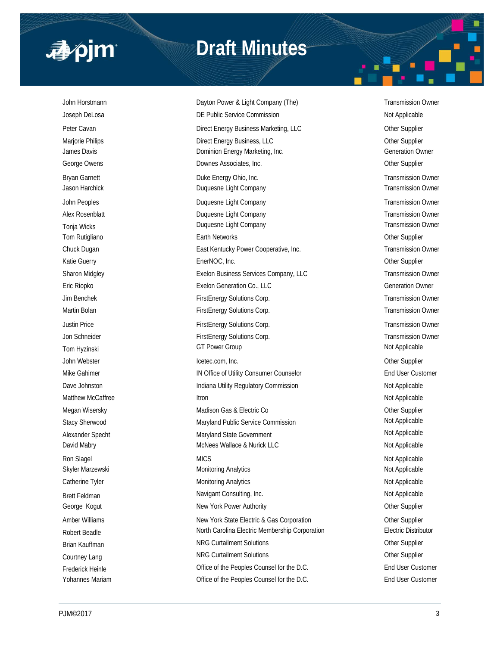

# **Draft Minutes**

John Horstmann **Dayton Power & Light Company (The)** Transmission Owner Company (The Company Che) Joseph DeLosa **DE Public Service Commission** DE Public Service Commission Not Applicable Peter Cavan **Direct Energy Business Marketing, LLC** Other Supplier Other Supplier Marjorie Philips **Direct Energy Business, LLC Direct Energy Business**, LLC James Davis **Dominion Energy Marketing, Inc.** Commercial Commercial Commercial Commercial Commercial Commercial Commercial Commercial Commercial Commercial Commercial Commercial Commercial Commercial Commercial Commercial George Owens **Community** Community Community Downes Associates, Inc. Community Community Community Community Community Community Community Community Community Community Community Community Community Community Community Com Bryan Garnett **Example 20** Energy Ohio, Inc. Transmission Owner **Duke Energy Ohio, Inc.** Transmission Owner Jason Harchick Duquesne Light Company Transmission Owner John Peoples **Duquesne Light Company Company Company** Transmission Owner Alex Rosenblatt **Alex Rosenblatt Duquesne Light Company Transmission Owner Transmission Owner** Tonja Wicks **Example 20 Transmission Owner** Duquesne Light Company **Transmission Owner** Transmission Owner Tom Rutigliano **Earth Networks** Earth Networks **Channel Communist Communist Channel Communist Channel Channel Channel Channel Channel Channel Channel Channel Channel Channel Channel Channel Channel Channel Channel Channel** Chuck Dugan **East Kentucky Power Cooperative, Inc.** Transmission Owner Cooperative, Inc. Katie Guerry **EnerNOC, Inc. Community Control** Chern Supplier Community Chern Supplier Sharon Midgley **Exelon Business Services Company, LLC** Transmission Owner Eric Riopko Exelon Generation Co., LLC Generation Owner Jim Benchek FirstEnergy Solutions Corp. Transmission Owner Martin Bolan **FirstEnergy Solutions Corp.** Transmission Owner Corp. Transmission Owner Justin Price **FirstEnergy Solutions Corp.** Transmission Owner Corp. Transmission Owner Jon Schneider **FirstEnergy Solutions Corp.** Transmission Owner Corp. Transmission Owner Tom Hyzinski Not Applicable GT Power Group CT Power Group John Webster Icetec.com, Inc. Other Supplier Mike Gahimer **IN Office of Utility Consumer Counselor** End User Customer Customer Dave Johnston **Indiana Utility Regulatory Commission** Not Applicable Not Applicable Matthew McCaffree **Itron** Itron Not Applicable Megan Wisersky **Matison Gas & Electric Co City Constant Constant Constant Constant Constant Constant Constant Constant Constant Constant Constant Constant Constant Constant Constant Constant Constant Constant Constant Co** Stacy Sherwood **Maryland Public Service Commission** Mateurs Applicable Alexander Specht Maryland State Government Maryland State Government David Mabry **McNees Wallace & Nurick LLC** Not Applicable Not Applicable Ron Slagel Not Applicable Microsoft MICS And the Control of the Control of the Control of the Control of the Control of the Control of the Control of the Control of the Control of the Control of the Control of the Control Skyler Marzewski **Monitoring Analytics** Monitoring Analytics Not Applicable Catherine Tyler **Monitoring Analytics** Monitoring Analytics **Not Applicable** Not Applicable Brett Feldman Navigant Consulting, Inc. Not Applicable Not Applicable Not Applicable George Kogut **New York Power Authority New York Power Authority New York Power Authority Other Supplier** Amber Williams **New York State Electric & Gas Corporation** Other Supplier Robert Beadle **North Carolina Electric Membership Corporation** Electric Distributor Brian Kauffman **NRG Curtailment Solutions** Curtailment Solutions Curtailment Solutions Curtailment Current Current Courtney Lang Curtailment Solutions Courtailment Solutions Curtailment Solutions Curtainers Curtainers Curtainers Curtainers Curtainers Curtainers Curtainers Curtainers Curtainers Curtainers Curtainers Curtainers Curtainer Frederick Heinle **End User Customer** Office of the Peoples Counsel for the D.C. **End User Customer** Yohannes Mariam **Office of the Peoples Counsel for the D.C.** End User Customer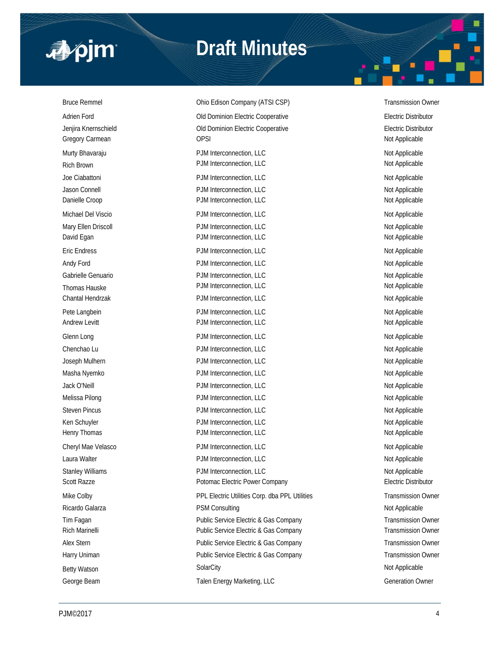

# **Draft Minutes**

George Beam **Talen Energy Marketing, LLC** George Beam Generation Owner

Bruce Remmel **Edison Company (ATSI CSP)** Transmission Owner Adrien Ford **Adrien Ford COLO EXECUTE:** Old Dominion Electric Cooperative **Conservative** Electric Distributor Jenjira Knernschield Old Dominion Electric Cooperative Electric Distributor Gregory Carmean **Carry Carmean** OPSI **Carry Carmean** OPSI **Not Applicable** Murty Bhavaraju **Number 2008** PJM Interconnection, LLC Not Applicable Not Applicable Rich Brown Not Applicable **PDM Interconnection, LLC** Not Applicable Not Applicable Joe Ciabattoni **Not Applicable** PJM Interconnection, LLC Not Applicable Not Applicable Jason Connell **Not Applicable** PJM Interconnection, LLC **Not Applicable** Not Applicable Danielle Croop **PJM Interconnection, LLC** Not Applicable Michael Del Viscio **PJM Interconnection, LLC** Not Applicable Mary Ellen Driscoll **Natural PJM Interconnection, LLC** Not Applicable Not Applicable David Egan **PJM Interconnection, LLC** and the power of the Not Applicable Not Applicable Eric Endress Not Applicable 2014 and 2015 PJM Interconnection, LLC Not Applicable Not Applicable Andy Ford **PJM Interconnection, LLC** Andy Ford Not Applicable Gabrielle Genuario **PJM Interconnection, LLC** and the policy of the Not Applicable Thomas Hauske **Not Applicable** PJM Interconnection, LLC **Not Applicable** Not Applicable Chantal Hendrzak **PJM Interconnection, LLC** Not Applicable Not Applicable Pete Langbein **PJM Interconnection, LLC** Not Applicable Not Applicable Andrew Levitt **Andrew Levitt** PJM Interconnection, LLC **Andrew Levitt** Not Applicable Glenn Long Not Applicable PJM Interconnection, LLC Not Applicable Not Applicable Chenchao Lu **Chenchao Lu Chenchao Lu** PJM Interconnection, LLC **Not Applicable** Not Applicable Joseph Mulhern **PJM Interconnection, LLC** Not Applicable Not Applicable Masha Nyemko **PJM Interconnection, LLC** Not Applicable Not Applicable Jack O'Neill **PJM Interconnection, LLC** and the power of the Not Applicable Not Applicable Melissa Pilong Not Applicable PJM Interconnection, LLC Not Applicable Not Applicable Steven Pincus **PJM Interconnection, LLC** Not Applicable Ken Schuyler **Not Applicable** PJM Interconnection, LLC Not Applicable Not Applicable Henry Thomas **Example 20 The PDM Interconnection, LLC** Not Applicable Not Applicable Cheryl Mae Velasco **PJM Interconnection, LLC** Not Applicable Not Applicable Laura Walter **Not Applicable** PJM Interconnection, LLC **Not Applicable** Not Applicable Stanley Williams **PJM Interconnection, LLC** Not Applicable Not Applicable Scott Razze **Potomac Electric Power Company Potomac Electric Power Company** Electric Distributor Mike Colby PPL Electric Utilities Corp. dba PPL Utilities Transmission Owner Ricardo Galarza **Not Applicable** PSM Consulting Not Applicable Not Applicable Tim Fagan **Public Service Electric & Gas Company** Transmission Owner Rich Marinelli **Public Service Electric & Gas Company** Transmission Owner Alex Stern **Alex Stern Company** Public Service Electric & Gas Company **Transmission Owner** Transmission Owner Harry Uniman **Public Service Electric & Gas Company Public Service Electric & Gas Company** Transmission Owner Betty Watson SolarCity Not Applicable